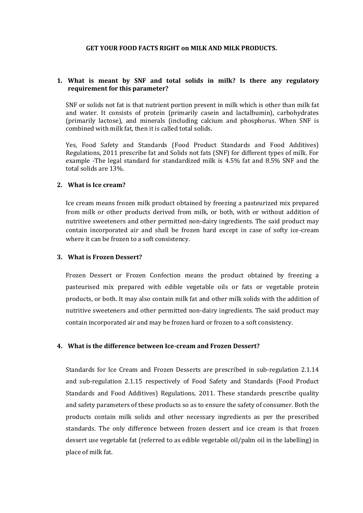### **GET YOUR FOOD FACTS RIGHT on MILK AND MILK PRODUCTS.**

# **1. What is meant by SNF and total solids in milk? Is there any regulatory requirement for this parameter?**

SNF or solids not fat is that nutrient portion present in milk which is other than milk fat and water. It consists of protein (primarily casein and lactalbumin), carbohydrates (primarily lactose), and minerals (including calcium and phosphorus. When SNF is combined with milk fat, then it is called total solids.

Yes, Food Safety and Standards (Food Product Standards and Food Additives) Regulations, 2011 prescribe fat and Solids not fats (SNF) for different types of milk. For example -The legal standard for standardized milk is 4.5% fat and 8.5% SNF and the total solids are 13%.

### **2. What is Ice cream?**

Ice cream means frozen milk product obtained by freezing a pasteurized mix prepared from milk or other products derived from milk, or both, with or without addition of nutritive sweeteners and other permitted non-dairy ingredients. The said product may contain incorporated air and shall be frozen hard except in case of softy ice-cream where it can be frozen to a soft consistency.

### **3. What is Frozen Dessert?**

Frozen Dessert or Frozen Confection means the product obtained by freezing a pasteurised mix prepared with edible vegetable oils or fats or vegetable protein products, or both. It may also contain milk fat and other milk solids with the addition of nutritive sweeteners and other permitted non-dairy ingredients. The said product may contain incorporated air and may be frozen hard or frozen to a soft consistency.

### **4. What is the difference between Ice-cream and Frozen Dessert?**

Standards for Ice Cream and Frozen Desserts are prescribed in sub-regulation 2.1.14 and sub-regulation 2.1.15 respectively of Food Safety and Standards (Food Product Standards and Food Additives) Regulations, 2011. These standards prescribe quality and safety parameters of these products so as to ensure the safety of consumer. Both the products contain milk solids and other necessary ingredients as per the prescribed standards. The only difference between frozen dessert and ice cream is that frozen dessert use vegetable fat (referred to as edible vegetable oil/palm oil in the labelling) in place of milk fat.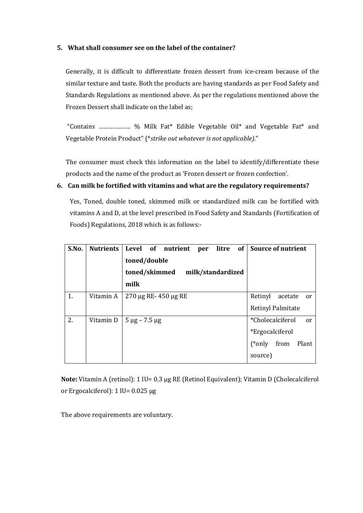# **5. What shall consumer see on the label of the container?**

Generally, it is difficult to differentiate frozen dessert from ice-cream because of the similar texture and taste. Both the products are having standards as per Food Safety and Standards Regulations as mentioned above. As per the regulations mentioned above the Frozen Dessert shall indicate on the label as;

"Contains ………………. % Milk Fat\* Edible Vegetable Oil\* and Vegetable Fat\* and Vegetable Protein Product" (\**strike out whatever is not applicable)*."

The consumer must check this information on the label to identify/differentiate these products and the name of the product as 'Frozen dessert or frozen confection'.

# **6. Can milk be fortified with vitamins and what are the regulatory requirements?**

Yes, Toned, double toned, skimmed milk or standardized milk can be fortified with vitamins A and D, at the level prescribed in Food Safety and Standards (Fortification of Foods) Regulations, 2018 which is as follows:-

| S.No. | <b>Nutrients</b> | Level of<br>litre<br>nutrient<br>per | of   Source of nutrient             |
|-------|------------------|--------------------------------------|-------------------------------------|
|       |                  | toned/double                         |                                     |
|       |                  | milk/standardized<br>toned/skimmed   |                                     |
|       |                  | milk                                 |                                     |
| 1.    | Vitamin A        | 270 μg RE-450 μg RE                  | Retinyl<br>acetate<br><sub>or</sub> |
|       |                  |                                      | Retinyl Palmitate                   |
| 2.    | Vitamin D        | $5 \mu g - 7.5 \mu g$                | *Cholecalciferol<br>or              |
|       |                  |                                      | <i>*Ergocalciferol</i>              |
|       |                  |                                      | $(*only$ from<br>Plant              |
|       |                  |                                      | source)                             |

**Note:** Vitamin A (retinol): 1 IU= 0.3 µg RE (Retinol Equivalent); Vitamin D (Cholecalciferol or Ergocalciferol): 1 IU= 0.025 µg

The above requirements are voluntary.